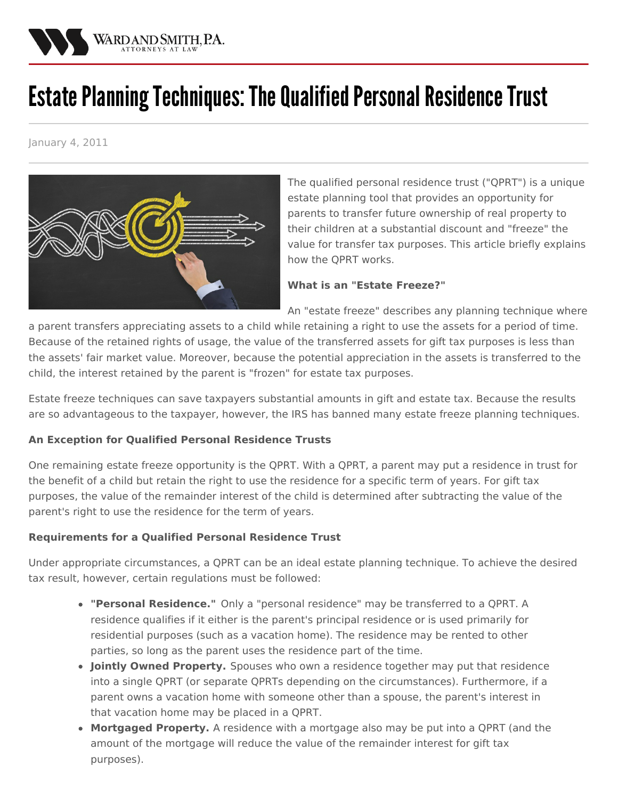

## Estate Planning Techniques: The Qualified Personal Residence Trust

January 4, 2011



The qualified personal residence trust ("QPRT") is a unique estate planning tool that provides an opportunity for parents to transfer future ownership of real property to their children at a substantial discount and "freeze" the value for transfer tax purposes. This article briefly explains how the QPRT works.

## **What is an "Estate Freeze?"**

An "estate freeze" describes any planning technique where

a parent transfers appreciating assets to a child while retaining a right to use the assets for a period of time. Because of the retained rights of usage, the value of the transferred assets for gift tax purposes is less than the assets' fair market value. Moreover, because the potential appreciation in the assets is transferred to the child, the interest retained by the parent is "frozen" for estate tax purposes.

Estate freeze techniques can save taxpayers substantial amounts in gift and estate tax. Because the results are so advantageous to the taxpayer, however, the IRS has banned many estate freeze planning techniques.

## **An Exception for Qualified Personal Residence Trusts**

One remaining estate freeze opportunity is the QPRT. With a QPRT, a parent may put a residence in trust for the benefit of a child but retain the right to use the residence for a specific term of years. For gift tax purposes, the value of the remainder interest of the child is determined after subtracting the value of the parent's right to use the residence for the term of years.

## **Requirements for a Qualified Personal Residence Trust**

Under appropriate circumstances, a QPRT can be an ideal estate planning technique. To achieve the desired tax result, however, certain regulations must be followed:

- **"Personal Residence."** Only a "personal residence" may be transferred to a QPRT. A residence qualifies if it either is the parent's principal residence or is used primarily for residential purposes (such as a vacation home). The residence may be rented to other parties, so long as the parent uses the residence part of the time.
- **Jointly Owned Property.** Spouses who own a residence together may put that residence into a single QPRT (or separate QPRTs depending on the circumstances). Furthermore, if a parent owns a vacation home with someone other than a spouse, the parent's interest in that vacation home may be placed in a QPRT.
- **Mortgaged Property.** A residence with a mortgage also may be put into a QPRT (and the amount of the mortgage will reduce the value of the remainder interest for gift tax purposes).